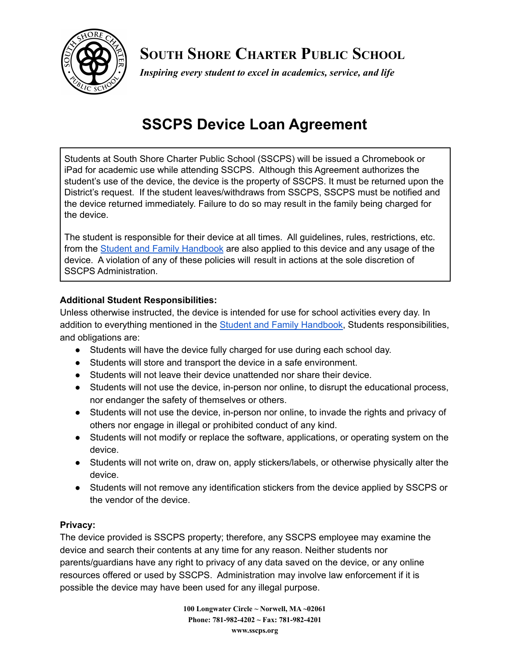

**SOUTH SHORE CHARTER PUBLIC SCHOOL**

*Inspiring every student to excel in academics, service, and life*

# **SSCPS Device Loan Agreement**

Students at South Shore Charter Public School (SSCPS) will be issued a Chromebook or iPad for academic use while attending SSCPS. Although this Agreement authorizes the student's use of the device, the device is the property of SSCPS. It must be returned upon the District's request. If the student leaves/withdraws from SSCPS, SSCPS must be notified and the device returned immediately. Failure to do so may result in the family being charged for the device.

The student is responsible for their device at all times. All guidelines, rules, restrictions, etc. from the Student and Family [Handbook](https://www.sscps.org/apps/pages/index.jsp?uREC_ID=306647&type=d&termREC_ID=&pREC_ID=579530) are also applied to this device and any usage of the device. A violation of any of these policies will result in actions at the sole discretion of SSCPS Administration.

### **Additional Student Responsibilities:**

Unless otherwise instructed, the device is intended for use for school activities every day. In addition to everything mentioned in the Student and Family [Handbook,](https://www.sscps.org/apps/pages/index.jsp?uREC_ID=306647&type=d&termREC_ID=&pREC_ID=579530) Students responsibilities, and obligations are:

- Students will have the device fully charged for use during each school day.
- Students will store and transport the device in a safe environment.
- Students will not leave their device unattended nor share their device.
- Students will not use the device, in-person nor online, to disrupt the educational process, nor endanger the safety of themselves or others.
- Students will not use the device, in-person nor online, to invade the rights and privacy of others nor engage in illegal or prohibited conduct of any kind.
- Students will not modify or replace the software, applications, or operating system on the device.
- Students will not write on, draw on, apply stickers/labels, or otherwise physically alter the device.
- Students will not remove any identification stickers from the device applied by SSCPS or the vendor of the device.

#### **Privacy:**

The device provided is SSCPS property; therefore, any SSCPS employee may examine the device and search their contents at any time for any reason. Neither students nor parents/guardians have any right to privacy of any data saved on the device, or any online resources offered or used by SSCPS. Administration may involve law enforcement if it is possible the device may have been used for any illegal purpose.

> **100 Longwater Circle ~ Norwell, MA ~02061 Phone: 781-982-4202 ~ Fax: 781-982-4201 www.sscps.org**